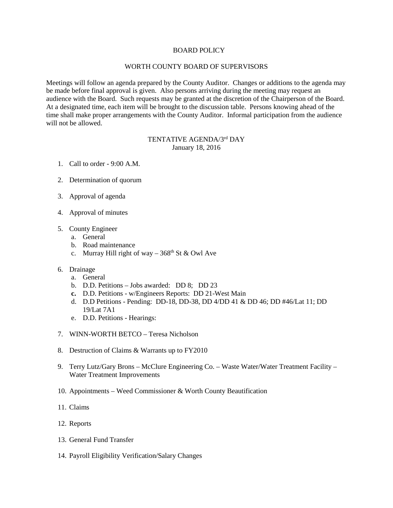## BOARD POLICY

## WORTH COUNTY BOARD OF SUPERVISORS

Meetings will follow an agenda prepared by the County Auditor. Changes or additions to the agenda may be made before final approval is given. Also persons arriving during the meeting may request an audience with the Board. Such requests may be granted at the discretion of the Chairperson of the Board. At a designated time, each item will be brought to the discussion table. Persons knowing ahead of the time shall make proper arrangements with the County Auditor. Informal participation from the audience will not be allowed.

## TENTATIVE AGENDA/3rd DAY January 18, 2016

- 1. Call to order 9:00 A.M.
- 2. Determination of quorum
- 3. Approval of agenda
- 4. Approval of minutes
- 5. County Engineer
	- a. General
	- b. Road maintenance
	- c. Murray Hill right of way  $-368$ <sup>th</sup> St & Owl Ave
- 6. Drainage
	- a. General
	- b. D.D. Petitions Jobs awarded: DD 8; DD 23
	- **c.** D.D. Petitions w/Engineers Reports: DD 21-West Main
	- d. D.D Petitions Pending: DD-18, DD-38, DD 4/DD 41 & DD 46; DD #46/Lat 11; DD 19/Lat 7A1
	- e. D.D. Petitions Hearings:
- 7. WINN-WORTH BETCO Teresa Nicholson
- 8. Destruction of Claims & Warrants up to FY2010
- 9. Terry Lutz/Gary Brons McClure Engineering Co. Waste Water/Water Treatment Facility Water Treatment Improvements
- 10. Appointments Weed Commissioner & Worth County Beautification
- 11. Claims
- 12. Reports
- 13. General Fund Transfer
- 14. Payroll Eligibility Verification/Salary Changes